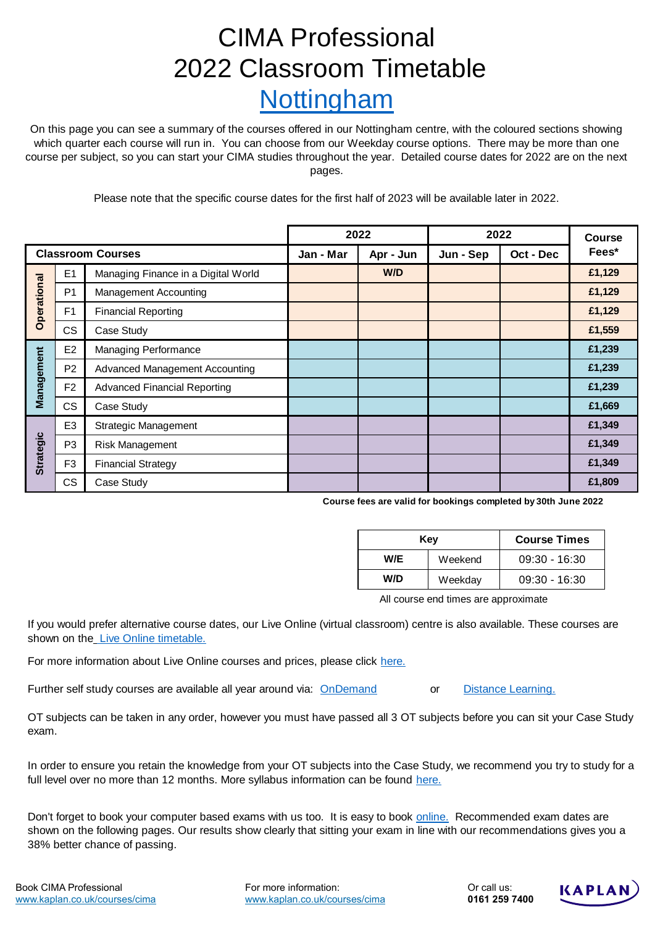# CIMA Professional 2022 Classroom Timetable Nottingham

On this page you can see a summary of the courses offered in our Nottingham centre, with the coloured sections showing which quarter each course will run in. You can choose from our Weekday course options. There may be more than one course per subject, so you can start your CIMA studies throughout the year. Detailed course dates for 2022 are on the next pages.

Please note that the specific course dates for the first half of 2023 will be available later in 2022.

|                          |                | 2022                                  |           | 2022      |           | <b>Course</b> |        |
|--------------------------|----------------|---------------------------------------|-----------|-----------|-----------|---------------|--------|
| <b>Classroom Courses</b> |                |                                       | Jan - Mar | Apr - Jun | Jun - Sep | Oct - Dec     | Fees*  |
| Operational              | E1             | Managing Finance in a Digital World   |           | W/D       |           |               | £1,129 |
|                          | P <sub>1</sub> | <b>Management Accounting</b>          |           |           |           |               | £1,129 |
|                          | F <sub>1</sub> | <b>Financial Reporting</b>            |           |           |           |               | £1,129 |
|                          | <b>CS</b>      | Case Study                            |           |           |           |               | £1,559 |
| Management               | E <sub>2</sub> | Managing Performance                  |           |           |           |               | £1,239 |
|                          | P <sub>2</sub> | <b>Advanced Management Accounting</b> |           |           |           |               | £1,239 |
|                          | F <sub>2</sub> | <b>Advanced Financial Reporting</b>   |           |           |           |               | £1,239 |
|                          | <b>CS</b>      | Case Study                            |           |           |           |               | £1,669 |
| <b>Strategic</b>         | E <sub>3</sub> | <b>Strategic Management</b>           |           |           |           |               | £1,349 |
|                          | P <sub>3</sub> | Risk Management                       |           |           |           |               | £1,349 |
|                          | F <sub>3</sub> | <b>Financial Strategy</b>             |           |           |           |               | £1,349 |
|                          | CS.            | Case Study                            |           |           |           |               | £1,809 |

**Course fees are valid for bookings completed by 30th June 2022**

|     | Kev     | <b>Course Times</b> |  |  |
|-----|---------|---------------------|--|--|
| W/E | Weekend | $09:30 - 16:30$     |  |  |
| W/D | Weekday | $09:30 - 16:30$     |  |  |

All course end times are approximate

[If you](https://kaplan.co.uk/docs/default-source/pdfs/timetables/cima/professional/cima-tt-liveonline-pt-professional.pdf?sfvrsn=801d6a01_118) would prefer alternative course dates, our Live Online (virtual classroom) centre is also available. These courses are [shown on the](https://kaplan.co.uk/docs/default-source/pdfs/timetables/cima/professional/cima-tt-liveonline-pt-professional.pdf?sfvrsn=801d6a01_118) Live Online timetable.

[For more information about Live Online courses and prices, please click](https://kaplan.co.uk/study-methods/live-online) here.

or [Further self study courses are available all year around via:](https://kaplan.co.uk/study-methods/ondemand) OnDemand or [Distanc](https://kaplan.co.uk/study-methods/distance-learning)e Learning.

OT subjects can be taken in any order, however you must have passed all 3 OT subjects before you can sit your Case Study exam.

[In ord](https://kaplan.co.uk/courses/cima)er to ensure you retain the knowledge from your OT subjects into the Case Study, we recommend you try to study for a [full level over no more than 12 months. More syllabus information can be found h](https://kaplan.co.uk/courses/cima)ere.

[Don't forget to book your computer based exams with us too. It is easy to book online.](https://kaplan.co.uk/exams) Recommended exam dates are [shown](https://kaplan.co.uk/exams) on the following pages. Our results show clearly that sitting your exam in line with our recommendations gives you a [38% b](https://kaplan.co.uk/exams)etter chance of passing.

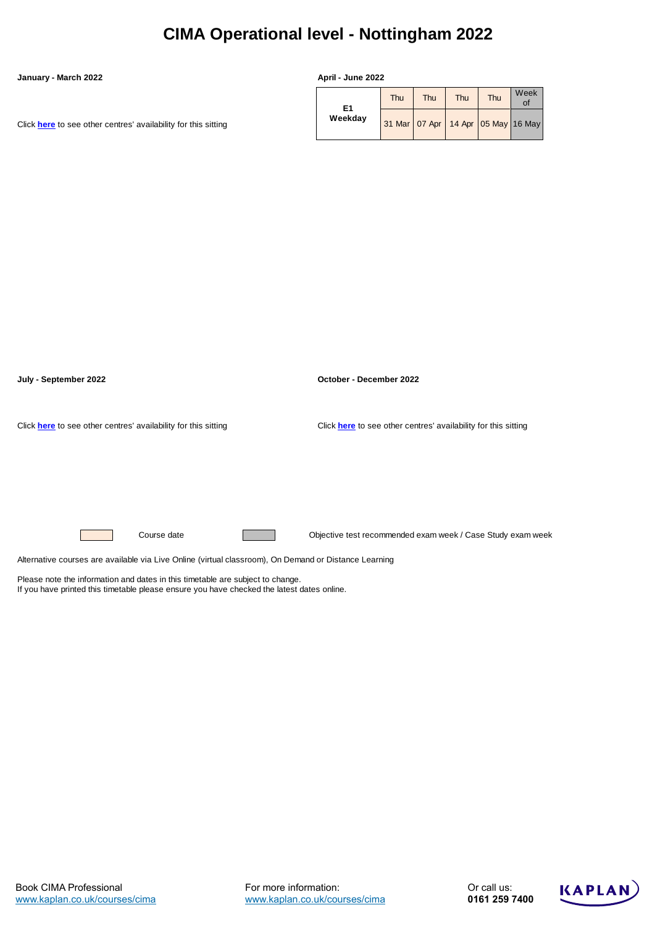## **CIMA Operational level - Nottingham 2022**

#### **January - March 2022 April - June 2022**

[Click](https://kaplan.co.uk/courses/timetables/cima) **[here](https://kaplan.co.uk/courses/timetables/cima)** [to see other centres' availability for this sitting](https://kaplan.co.uk/courses/timetables/cima)

| E1      | Thu | <b>Thu</b> | Thu | Thu | Week<br>of                                 |
|---------|-----|------------|-----|-----|--------------------------------------------|
| Weekday |     |            |     |     | 31 Mar   07 Apr   14 Apr   05 May   16 May |



Please note the information and dates in this timetable are subject to change. If you have printed this timetable please ensure you have checked the latest dates online.

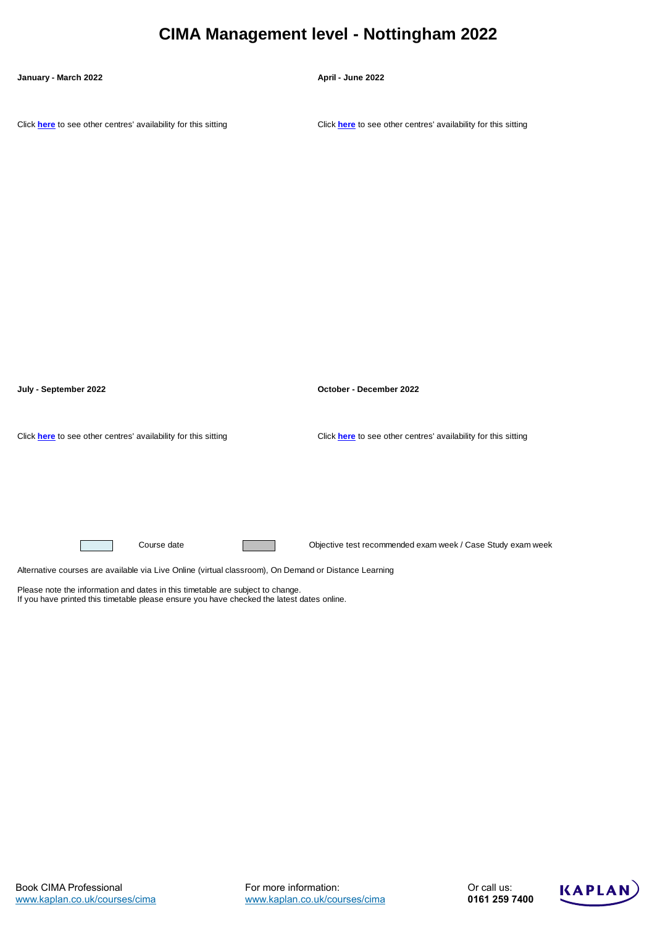### **CIMA Management level - Nottingham 2022**

#### **January - March 2022 April - June 2022**

[Click](https://kaplan.co.uk/courses/timetables/cima) **[here](https://kaplan.co.uk/courses/timetables/cima)** [to see other centres' availability for this sitting](https://kaplan.co.uk/courses/timetables/cima) [Click](https://kaplan.co.uk/courses/timetables/cima) **[here](https://kaplan.co.uk/courses/timetables/cima)** [to see other centres' availability for this sitting](https://kaplan.co.uk/courses/timetables/cima)



Please note the information and dates in this timetable are subject to change.

If you have printed this timetable please ensure you have checked the latest dates online.